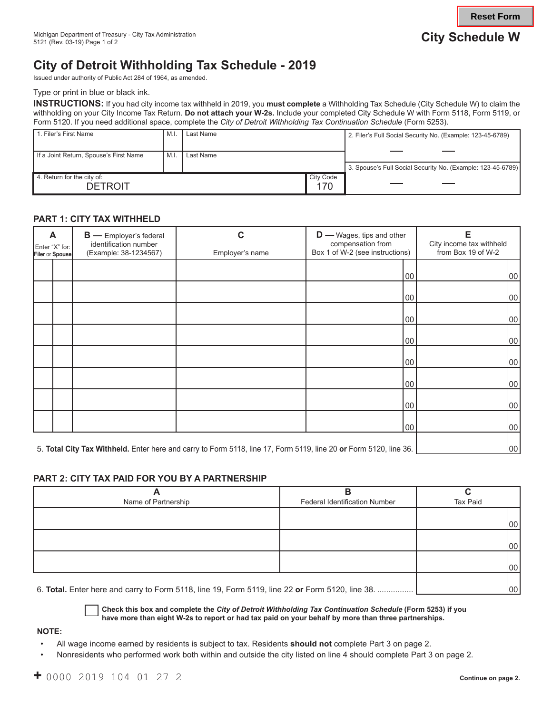**Reset Form**

# **City of Detroit Withholding Tax Schedule - 2019**

Issued under authority of Public Act 284 of 1964, as amended.

Type or print in blue or black ink.

**INSTRUCTIONS:** If you had city income tax withheld in 2019, you **must complete** a Withholding Tax Schedule (City Schedule W) to claim the withholding on your City Income Tax Return. **Do not attach your W-2s.** Include your completed City Schedule W with Form 5118, Form 5119, or Form 5120. If you need additional space, complete the *City of Detroit Withholding Tax Continuation Schedule* (Form 5253).

| 1. Filer's First Name                        | M.I | Last Name |                  | 2. Filer's Full Social Security No. (Example: 123-45-6789)  |
|----------------------------------------------|-----|-----------|------------------|-------------------------------------------------------------|
| If a Joint Return, Spouse's First Name       | M.I | Last Name |                  |                                                             |
|                                              |     |           |                  | 3. Spouse's Full Social Security No. (Example: 123-45-6789) |
| 4. Return for the city of:<br><b>DETROIT</b> |     |           | City Code<br>170 |                                                             |

## **PART 1: CITY TAX WITHHELD**

| A<br>Enter "X" for:<br>Filer or Spouse | <b>B</b> - Employer's federal<br>identification number<br>(Example: 38-1234567)                                   | $\mathbf{D}$ — Wages, tips and other<br>С<br>compensation from<br>Box 1 of W-2 (see instructions)<br>Employer's name |     | Е<br>City income tax withheld<br>from Box 19 of W-2 |
|----------------------------------------|-------------------------------------------------------------------------------------------------------------------|----------------------------------------------------------------------------------------------------------------------|-----|-----------------------------------------------------|
|                                        |                                                                                                                   |                                                                                                                      | 100 | 00                                                  |
|                                        |                                                                                                                   |                                                                                                                      | 00  | 00                                                  |
|                                        |                                                                                                                   |                                                                                                                      | 100 | 00                                                  |
|                                        |                                                                                                                   |                                                                                                                      | 100 | 00                                                  |
|                                        |                                                                                                                   |                                                                                                                      | 00  | 00                                                  |
|                                        |                                                                                                                   |                                                                                                                      | 00  | 00                                                  |
|                                        |                                                                                                                   |                                                                                                                      | 00  | 00                                                  |
|                                        |                                                                                                                   |                                                                                                                      | 100 | 00                                                  |
|                                        | 5. Total City Tax Withheld. Enter here and carry to Form 5118, line 17, Form 5119, line 20 or Form 5120, line 36. | 00                                                                                                                   |     |                                                     |

### **PART 2: CITY TAX PAID FOR YOU BY A PARTNERSHIP**

|                     | o                                    |          |
|---------------------|--------------------------------------|----------|
| Name of Partnership | <b>Federal Identification Number</b> | Tax Paid |
|                     |                                      |          |
|                     |                                      | 00       |
|                     |                                      |          |
|                     |                                      | 00       |
|                     |                                      |          |
|                     |                                      | 00       |
|                     |                                      |          |

6. **Total.** Enter here and carry to Form 5118, line 19, Form 5119, line 22 **or** Form 5120, line 38. ................ 00

**Check this box and complete the** *City of Detroit Withholding Tax Continuation Schedule* **(Form 5253) if you have more than eight W-2s to report or had tax paid on your behalf by more than three partnerships.**

#### **NOTE:**

- All wage income earned by residents is subject to tax. Residents **should not** complete Part 3 on page 2.
- Nonresidents who performed work both within and outside the city listed on line 4 should complete Part 3 on page 2.